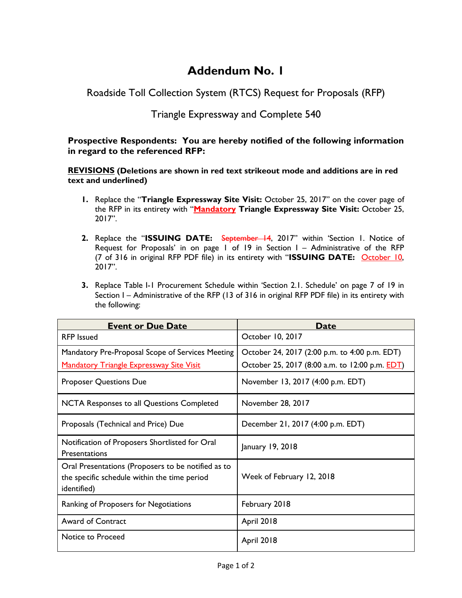## **Addendum No. 1**

Roadside Toll Collection System (RTCS) Request for Proposals (RFP)

## Triangle Expressway and Complete 540

## **Prospective Respondents: You are hereby notified of the following information in regard to the referenced RFP:**

**REVISIONS (Deletions are shown in red text strikeout mode and additions are in red text and underlined)**

- **1.** Replace the "**Triangle Expressway Site Visit:** October 25, 2017" on the cover page of the RFP in its entirety with "**Mandatory Triangle Expressway Site Visit:** October 25, 2017".
- **2.** Replace the "**ISSUING DATE:** September 14, 2017" within 'Section 1. Notice of Request for Proposals' in on page  $1$  of 19 in Section  $1 -$  Administrative of the RFP (7 of 316 in original RFP PDF file) in its entirety with "**ISSUING DATE:** October 10,  $2017$ ".
- **3.** Replace Table I-1 Procurement Schedule within 'Section 2.1. Schedule' on page 7 of 19 in Section I – Administrative of the RFP (13 of 316 in original RFP PDF file) in its entirety with the following:

| <b>Event or Due Date</b>                                                                                          | <b>Date</b>                                            |
|-------------------------------------------------------------------------------------------------------------------|--------------------------------------------------------|
| <b>RFP</b> Issued                                                                                                 | October 10, 2017                                       |
| Mandatory Pre-Proposal Scope of Services Meeting                                                                  | October 24, 2017 (2:00 p.m. to 4:00 p.m. EDT)          |
| <b>Mandatory Triangle Expressway Site Visit</b>                                                                   | October 25, 2017 (8:00 a.m. to 12:00 p.m. <b>EDT</b> ) |
| <b>Proposer Questions Due</b>                                                                                     | November 13, 2017 (4:00 p.m. EDT)                      |
| NCTA Responses to all Questions Completed                                                                         | November 28, 2017                                      |
| Proposals (Technical and Price) Due                                                                               | December 21, 2017 (4:00 p.m. EDT)                      |
| Notification of Proposers Shortlisted for Oral<br>Presentations                                                   | January 19, 2018                                       |
| Oral Presentations (Proposers to be notified as to<br>the specific schedule within the time period<br>identified) | Week of February 12, 2018                              |
| Ranking of Proposers for Negotiations                                                                             | February 2018                                          |
| <b>Award of Contract</b>                                                                                          | <b>April 2018</b>                                      |
| Notice to Proceed                                                                                                 | <b>April 2018</b>                                      |